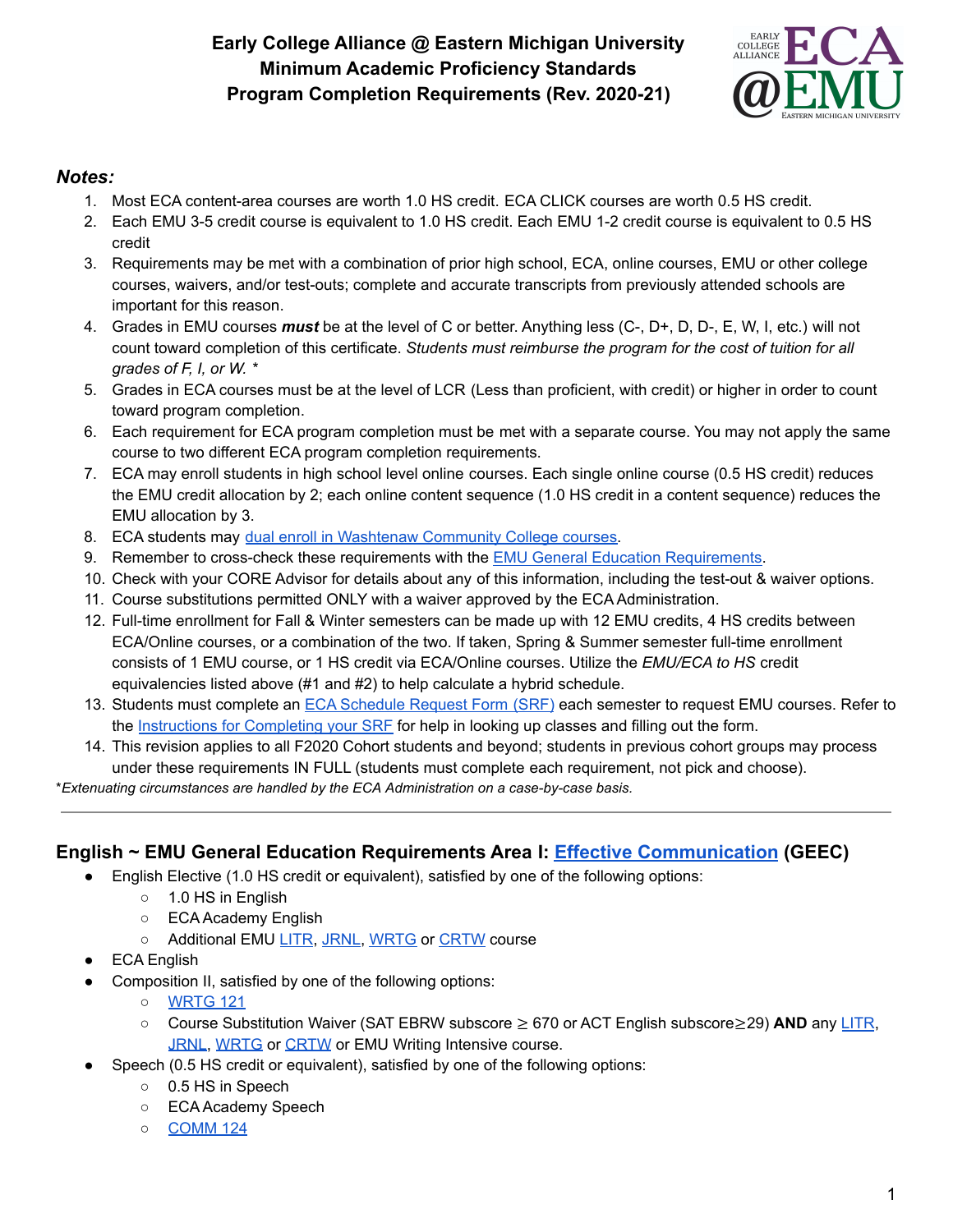# **Early College Alliance @ Eastern Michigan University Minimum Academic Proficiency Standards Program Completion Requirements (Rev. 2020-21)**



#### *Notes:*

- 1. Most ECA content-area courses are worth 1.0 HS credit. ECA CLICK courses are worth 0.5 HS credit.
- 2. Each EMU 3-5 credit course is equivalent to 1.0 HS credit. Each EMU 1-2 credit course is equivalent to 0.5 HS credit
- 3. Requirements may be met with a combination of prior high school, ECA, online courses, EMU or other college courses, waivers, and/or test-outs; complete and accurate transcripts from previously attended schools are important for this reason.
- 4. Grades in EMU courses *must* be at the level of C or better. Anything less (C-, D+, D, D-, E, W, I, etc.) will not count toward completion of this certificate. *Students must reimburse the program for the cost of tuition for all grades of F, I, or W. \**
- 5. Grades in ECA courses must be at the level of LCR (Less than proficient, with credit) or higher in order to count toward program completion.
- 6. Each requirement for ECA program completion must be met with a separate course. You may not apply the same course to two different ECA program completion requirements.
- 7. ECA may enroll students in high school level online courses. Each single online course (0.5 HS credit) reduces the EMU credit allocation by 2; each online content sequence (1.0 HS credit in a content sequence) reduces the EMU allocation by 3.
- 8. ECA students may dual enroll in [Washtenaw](https://docs.google.com/document/d/18Sn0i81S-5cSaO6TC8lQXyTPbFqLcsr4dqgtmJXk3EQ/edit?usp=sharing) Community College courses.
- 9. Remember to cross-check these requirements with the EMU General Education [Requirements.](https://catalog.emich.edu/content.php?catoid=36&navoid=9537)
- 10. Check with your CORE Advisor for details about any of this information, including the test-out & waiver options.
- 11. Course substitutions permitted ONLY with a waiver approved by the ECA Administration.
- 12. Full-time enrollment for Fall & Winter semesters can be made up with 12 EMU credits, 4 HS credits between ECA/Online courses, or a combination of the two. If taken, Spring & Summer semester full-time enrollment consists of 1 EMU course, or 1 HS credit via ECA/Online courses. Utilize the *EMU/ECA to HS* credit equivalencies listed above (#1 and #2) to help calculate a hybrid schedule.
- 13. Students must complete an ECA [Schedule](https://docs.google.com/spreadsheets/d/1OH_qSU3iFIvidNraUuo5tGfJcm4fKC_MqzS01tyHCJM/copy) Request Form (SRF) each semester to request EMU courses. Refer to the [Instructions](https://12c45ac8-b025-43d3-b929-41737b8ddc20.filesusr.com/ugd/6548ee_966e33a55d6247088202a1ea8676ba41.pdf) for Completing your SRF for help in looking up classes and filling out the form.
- 14. This revision applies to all F2020 Cohort students and beyond; students in previous cohort groups may process under these requirements IN FULL (students must complete each requirement, not pick and choose).

\**Extenuating circumstances are handled by the ECA Administration on a case-by-case basis.*

## **English ~ EMU General Education Requirements Area I: [Effective Communication](https://catalog.emich.edu/preview_program.php?catoid=36&poid=15388) (GEEC)**

- English Elective (1.0 HS credit or equivalent), satisfied by one of the following options:
	- 1.0 HS in English
	- ECA Academy English
	- Additional EMU [LITR](https://catalog.emich.edu/search_advanced.php?cur_cat_oid=36&search_database=Search&search_db=Search&cpage=1&ecpage=1&ppage=1&spage=1&tpage=1&location=33&filter%5Bkeyword%5D=LITR), [JRNL,](https://catalog.emich.edu/search_advanced.php?cur_cat_oid=36&ecpage=1&cpage=1&ppage=1&pcpage=1&spage=1&tpage=1&search_database=Search&filter%5Bkeyword%5D=JRNL&filter%5B3%5D=1&filter%5B31%5D=1&filter%5B1%5D=1&filter%5B28%5D=1&filter%5B30%5D=1) [WRTG](https://catalog.emich.edu/search_advanced.php?cur_cat_oid=36&ecpage=1&cpage=1&ppage=1&pcpage=1&spage=1&tpage=1&search_database=Search&filter%5Bkeyword%5D=WRTG&filter%5B3%5D=1&filter%5B31%5D=1&filter%5B1%5D=1&filter%5B28%5D=1&filter%5B30%5D=1) or [CRTW](https://catalog.emich.edu/search_advanced.php?cur_cat_oid=36&ecpage=1&cpage=1&ppage=1&pcpage=1&spage=1&tpage=1&search_database=Search&filter%5Bkeyword%5D=CRTW&filter%5B3%5D=1&filter%5B31%5D=1&filter%5B1%5D=1&filter%5B28%5D=1&filter%5B30%5D=1) course
- **ECA English**
- Composition II, satisfied by one of the following options:
	- [WRTG](https://catalog.emich.edu/preview_course.php?catoid=36&coid=261500&print) 121
	- Course Substitution Waiver (SAT EBRW subscore ≥ 670 or ACT English subscore≥29) **AND** any [LITR](https://catalog.emich.edu/search_advanced.php?cur_cat_oid=36&search_database=Search&search_db=Search&cpage=1&ecpage=1&ppage=1&spage=1&tpage=1&location=33&filter%5Bkeyword%5D=LITR), [JRNL,](https://catalog.emich.edu/search_advanced.php?cur_cat_oid=36&ecpage=1&cpage=1&ppage=1&pcpage=1&spage=1&tpage=1&search_database=Search&filter%5Bkeyword%5D=JRNL&filter%5B3%5D=1&filter%5B31%5D=1&filter%5B1%5D=1&filter%5B28%5D=1&filter%5B30%5D=1) [WRTG](https://catalog.emich.edu/search_advanced.php?cur_cat_oid=36&ecpage=1&cpage=1&ppage=1&pcpage=1&spage=1&tpage=1&search_database=Search&filter%5Bkeyword%5D=WRTG&filter%5B3%5D=1&filter%5B31%5D=1&filter%5B1%5D=1&filter%5B28%5D=1&filter%5B30%5D=1) or [CRTW](https://catalog.emich.edu/search_advanced.php?cur_cat_oid=36&ecpage=1&cpage=1&ppage=1&pcpage=1&spage=1&tpage=1&search_database=Search&filter%5Bkeyword%5D=CRTW&filter%5B3%5D=1&filter%5B31%5D=1&filter%5B1%5D=1&filter%5B28%5D=1&filter%5B30%5D=1) or EMU Writing Intensive course.
- Speech (0.5 HS credit or equivalent), satisfied by one of the following options:
	- 0.5 HS in Speech
	- ECA Academy Speech
	- **[COMM](https://catalog.emich.edu/preview_course.php?catoid=36&coid=258005&print) 124**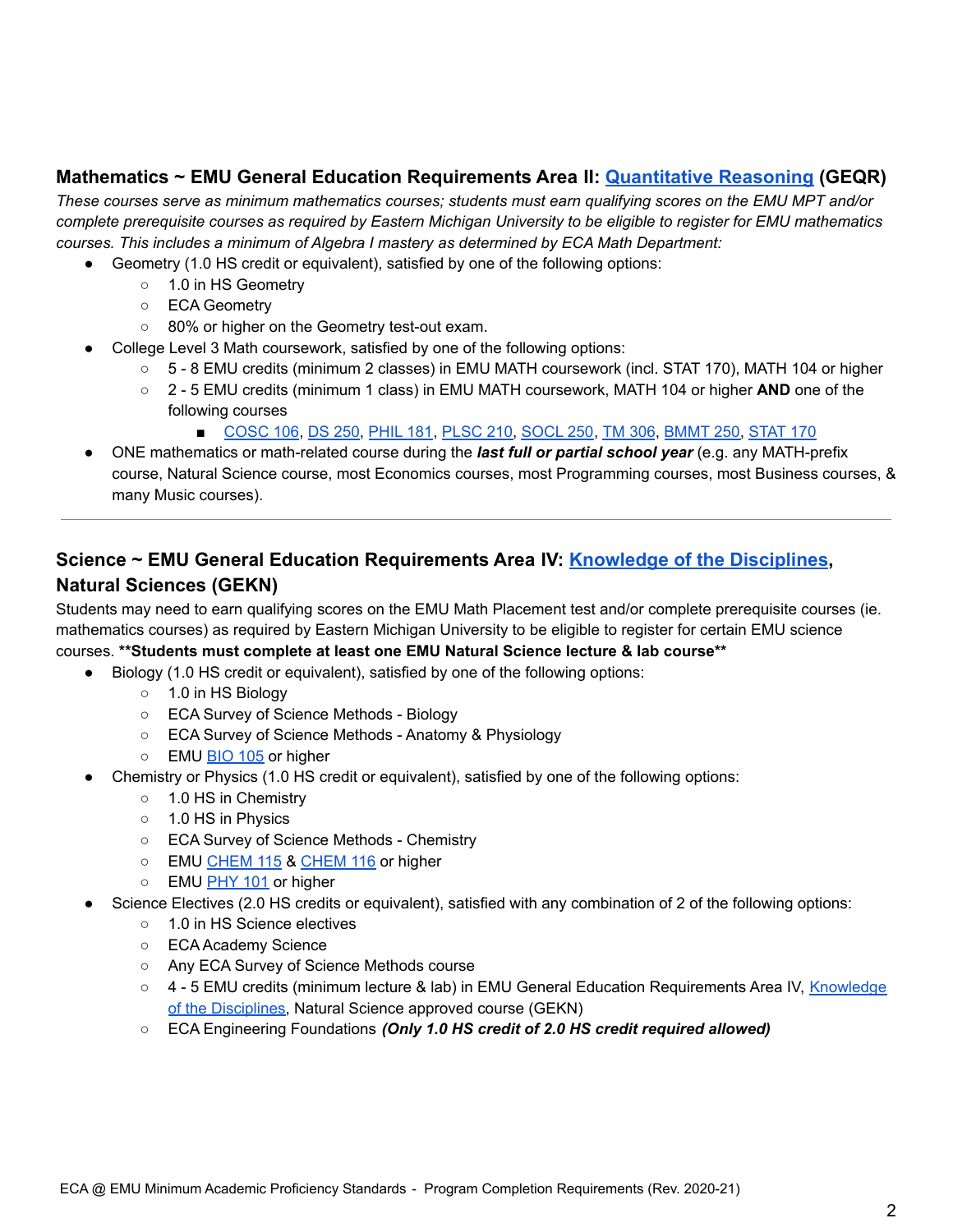#### **Mathematics ~ EMU General Education Requirements Area II: [Quantitative Reasoning](http://catalog.emich.edu/preview_program.php?catoid=23&poid=11120) (GEQR)**

These courses serve as minimum mathematics courses; students must earn qualifying scores on the EMU MPT and/or complete prerequisite courses as required by Eastern Michigan University to be eligible to register for EMU mathematics *courses. This includes a minimum of Algebra I mastery as determined by ECA Math Department:*

- Geometry (1.0 HS credit or equivalent), satisfied by one of the following options:
	- 1.0 in HS Geometry
	- ECA Geometry
	- 80% or higher on the Geometry test-out exam.
- College Level 3 Math coursework, satisfied by one of the following options:
	- 5 8 EMU credits (minimum 2 classes) in EMU MATH coursework (incl. STAT 170), MATH 104 or higher
	- 2 5 EMU credits (minimum 1 class) in EMU MATH coursework, MATH 104 or higher **AND** one of the following courses
		- [COSC](https://catalog.emich.edu/preview_course.php?catoid=36&coid=257860&print) 106, DS [250](https://catalog.emich.edu/preview_course.php?catoid=36&coid=261538&print), [PHIL](https://catalog.emich.edu/preview_course.php?catoid=36&coid=260054&print) 181, [PLSC](https://catalog.emich.edu/preview_course.php?catoid=36&coid=260158&print) 210, [SOCL](https://catalog.emich.edu/preview_course.php?catoid=36&coid=260476&print) 250, TM [306](https://catalog.emich.edu/preview_course.php?catoid=36&coid=261188&print), [BMMT](https://catalog.emich.edu/preview_course.php?catoid=36&coid=257515&print&filter%5B29%5D=250&filter%5Bcourse_type%5D=-1&filter%5Bkeyword%5D=&filter%5B32%5D=1&filter%5Bcpage%5D=1&cur_cat_oid=32&expand=&navoid=6797&search_database=Filter#acalog_template_course_filter) 250, [STAT](https://catalog.emich.edu/preview_course.php?catoid=36&coid=259506&print) 170
- ONE mathematics or math-related course during the *last full or partial school year* (e.g. any MATH-prefix course, Natural Science course, most Economics courses, most Programming courses, most Business courses, & many Music courses).

## **Science ~ EMU General Education Requirements Area IV: [Knowledge of the Disciplines](http://catalog.emich.edu/preview_program.php?catoid=23&poid=11122), Natural Sciences (GEKN)**

Students may need to earn qualifying scores on the EMU Math Placement test and/or complete prerequisite courses (ie. mathematics courses) as required by Eastern Michigan University to be eligible to register for certain EMU science courses. **\*\*Students must complete at least one EMU Natural Science lecture & lab course\*\***

- Biology (1.0 HS credit or equivalent), satisfied by one of the following options:
	- 1.0 in HS Biology
	- ECA Survey of Science Methods Biology
	- ECA Survey of Science Methods Anatomy & Physiology
	- EMU [BIO](https://catalog.emich.edu/preview_course.php?catoid=36&coid=257430&print) 105 or higher
- Chemistry or Physics (1.0 HS credit or equivalent), satisfied by one of the following options:
	- 1.0 HS in Chemistry
	- 1.0 HS in Physics
	- ECA Survey of Science Methods Chemistry
	- EMU [CHEM](https://catalog.emich.edu/preview_course.php?catoid=36&coid=257610&print) 115 & CHEM 116 or higher
	- EMU [PHY](https://catalog.emich.edu/preview_course.php?catoid=36&coid=260094&print) 101 or higher
- Science Electives (2.0 HS credits or equivalent), satisfied with any combination of 2 of the following options:
	- 1.0 in HS Science electives
	- ECA Academy Science
	- Any ECA Survey of Science Methods course
	- 4 5 EMU credits (minimum lecture & lab) in EMU General Education Requirements Area IV, [Knowledge](https://catalog.emich.edu/preview_program.php?catoid=36&poid=15391) of the [Disciplines,](https://catalog.emich.edu/preview_program.php?catoid=36&poid=15391) Natural Science approved course (GEKN)
	- ECA Engineering Foundations *(Only 1.0 HS credit of 2.0 HS credit required allowed)*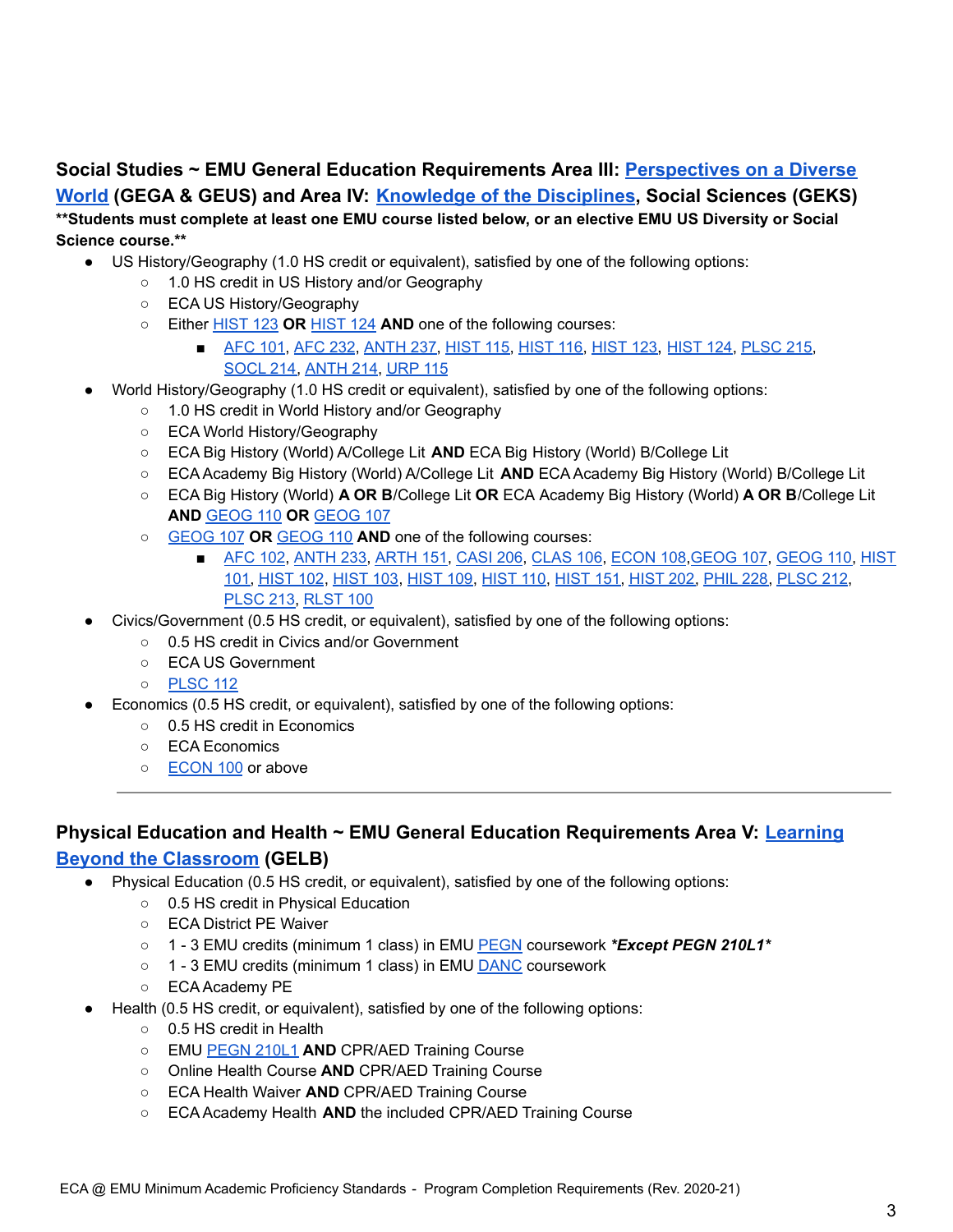## **Social Studies ~ EMU General Education Requirements Area III: [Perspectives on a Diverse](https://catalog.emich.edu/preview_program.php?catoid=36&poid=15390) [World](https://catalog.emich.edu/preview_program.php?catoid=36&poid=15390) (GEGA & GEUS) and Area IV: [Knowledge of the](https://catalog.emich.edu/preview_program.php?catoid=36&poid=15391) Disciplines, Social Sciences (GEKS)** \*\*Students must complete at least one EMU course listed below, or an elective EMU US Diversity or Social

#### **Science course.\*\***

- US History/Geography (1.0 HS credit or equivalent), satisfied by one of the following options:
	- 1.0 HS credit in US History and/or Geography
	- ECA US History/Geography
	- Either [HIST](https://catalog.emich.edu/preview_course.php?catoid=36&coid=258900&print) 123 **OR** [HIST](https://catalog.emich.edu/preview_course.php?catoid=36&coid=258901&print) 124 **AND** one of the following courses:
		- [AFC](https://catalog.emich.edu/preview_course.php?catoid=36&coid=257093&print) 101, AFC 232, [ANTH](https://catalog.emich.edu/preview_course.php?catoid=36&coid=257194&print) 237, [HIST](https://catalog.emich.edu/preview_course.php?catoid=36&coid=258901&print) 115, HIST 116, HIST 123, HIST 124, [PLSC](https://catalog.emich.edu/preview_course.php?catoid=36&coid=260162&print) 215, [SOCL](https://catalog.emich.edu/preview_course.php?catoid=36&coid=260473&print) 214, [ANTH](https://catalog.emich.edu/preview_course.php?catoid=36&coid=257191&print) 214, [URP](https://catalog.emich.edu/preview_course.php?catoid=36&coid=258841&print) 115
- World History/Geography (1.0 HS credit or equivalent), satisfied by one of the following options:
	- 1.0 HS credit in World History and/or Geography
	- ECA World History/Geography
	- ECA Big History (World) A/College Lit **AND** ECA Big History (World) B/College Lit
	- ECA Academy Big History (World) A/College Lit **AND** ECA Academy Big History (World) B/College Lit
	- ECA Big History (World) **A OR B**/College Lit **OR** ECA Academy Big History (World) **A OR B**/College Lit **AND** [GEOG](https://catalog.emich.edu/preview_course.php?catoid=36&coid=258700&print) 110 **OR** [GEOG](https://catalog.emich.edu/preview_course.php?catoid=36&coid=258699&print) 107
	- [GEOG](https://catalog.emich.edu/preview_course.php?catoid=36&coid=258699&print) 107 **OR** [GEOG](https://catalog.emich.edu/preview_course.php?catoid=36&coid=258700&print) 110 **AND** one of the following courses:
		- [AFC](https://catalog.emich.edu/preview_course.php?catoid=36&coid=257086&print) 102, [ANTH](https://catalog.emich.edu/preview_course.php?catoid=36&coid=257192&print) 233, [ARTH](https://catalog.emich.edu/preview_course.php?catoid=36&coid=257234&print) 151, [CASI](https://catalog.emich.edu/preview_course.php?catoid=36&coid=257573&print) 206, [CLAS](https://catalog.emich.edu/preview_course.php?catoid=36&coid=257699&print) 106, [ECON](https://catalog.emich.edu/preview_course.php?catoid=36&coid=258325&print) 108, [GEOG](https://catalog.emich.edu/preview_course.php?catoid=36&coid=258700&print) 107, GEOG 110, [HIST](https://catalog.emich.edu/preview_course.php?catoid=36&coid=258891&print) [101,](https://catalog.emich.edu/preview_course.php?catoid=36&coid=258891&print) [HIST](https://catalog.emich.edu/preview_course.php?catoid=36&coid=258892&print) 102, [HIST](https://catalog.emich.edu/preview_course.php?catoid=36&coid=258893&print) 103, [HIST](https://catalog.emich.edu/preview_course.php?catoid=36&coid=258896&print) 109, [HIST](https://catalog.emich.edu/preview_course.php?catoid=36&coid=258897&print) 110, [HIST](https://catalog.emich.edu/preview_course.php?catoid=36&coid=258902&print) 151, [HIST](https://catalog.emich.edu/preview_course.php?catoid=36&coid=258912&print) 202, [PHIL](https://catalog.emich.edu/preview_course.php?catoid=36&coid=260062&print) 228, [PLSC](https://catalog.emich.edu/preview_course.php?catoid=36&coid=260160&print) 212, [PLSC](https://catalog.emich.edu/preview_course.php?catoid=36&coid=260161&print) 213, [RLST](https://catalog.emich.edu/preview_course.php?catoid=36&coid=262183&print) 100
- Civics/Government (0.5 HS credit, or equivalent), satisfied by one of the following options:
	- 0.5 HS credit in Civics and/or Government
	- ECA US Government
	- [PLSC](https://catalog.emich.edu/preview_course.php?catoid=36&coid=260151&print) 112
- Economics (0.5 HS credit, or equivalent), satisfied by one of the following options:
	- 0.5 HS credit in Economics
	- ECA Economics
	- [ECON](https://catalog.emich.edu/preview_course.php?catoid=36&coid=258323&print) 100 or above

## **Physical Education and Health ~ EMU General Education Requirements Area V: [Learning](https://catalog.emich.edu/preview_program.php?catoid=36&poid=15392) [Beyond the Classroom](https://catalog.emich.edu/preview_program.php?catoid=36&poid=15392) (GELB)**

- Physical Education (0.5 HS credit, or equivalent), satisfied by one of the following options:
	- 0.5 HS credit in Physical Education
	- ECA District PE Waiver
	- 1 3 EMU credits (minimum 1 class) in EMU [PEGN](https://catalog.emich.edu/search_advanced.php?cur_cat_oid=36&search_database=Search&search_db=Search&cpage=1&ecpage=1&ppage=1&spage=1&tpage=1&location=33&filter%5Bkeyword%5D=PEGN) coursework *\*Except PEGN 210L1\**
	- 1 3 EMU credits (minimum 1 class) in EMU **[DANC](https://catalog.emich.edu/search_advanced.php?cur_cat_oid=36&search_database=Search&search_db=Search&cpage=1&ecpage=1&ppage=1&spage=1&tpage=1&location=33&filter%5Bkeyword%5D=danc)** coursework
	- ECA Academy PE
- Health (0.5 HS credit, or equivalent), satisfied by one of the following options:
	- 0.5 HS credit in Health
	- EMU [PEGN](https://catalog.emich.edu/preview_course.php?catoid=36&coid=259955&print) 210L1 **AND** CPR/AED Training Course
	- Online Health Course **AND** CPR/AED Training Course
	- ECA Health Waiver **AND** CPR/AED Training Course
	- ECA Academy Health **AND** the included CPR/AED Training Course